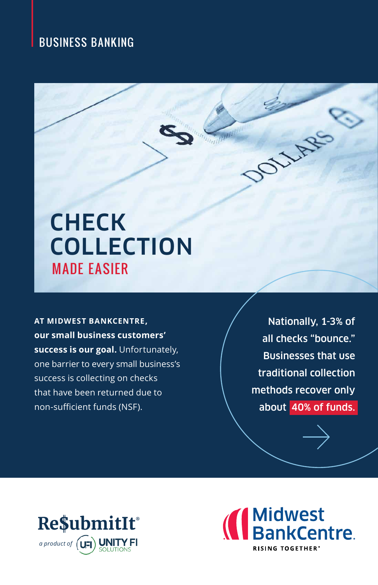### BUSINESS BANKING

# **CHECK COLLECTION** MADE EASIER

**AT MIDWEST BANKCENTRE, our small business customers' success is our goal.** Unfortunately, one barrier to every small business's success is collecting on checks that have been returned due to non-sufficient funds (NSF).

Nationally, 1-3% of all checks "bounce." Businesses that use traditional collection methods recover only about 40% of funds.

JULARE



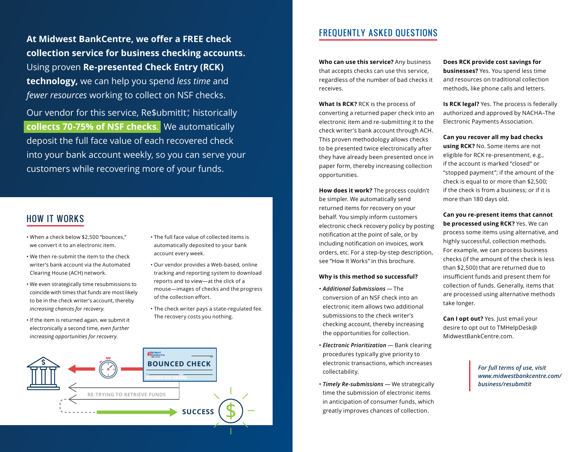**At Midwest BankCentre, we offer a FREE check collection service for business checking accounts.** Using proven **Re-presented Check Entry (RCK) technology,** we can help you spend *less time* and *fewer resources* working to collect on NSF checks.

Our vendor for this service, Re\$ubmitIt, historically **collects 70-75% of NSF checks**. We automatically deposit the full face value of each recovered check into your bank account weekly, so you can serve your customers while recovering more of your funds.

#### HOW IT WORKS

- When a check below \$2,500 "bounces," we convert it to an electronic item.
- We then re-submit the item to the check writer's bank account via the Automated Clearing House (ACH) network.
- We even strategically time resubmissions to coincide with times that funds are most likely to be in the check writer's account, thereby *increasing chances for recovery*.
- If the item is returned again, we submit it electronically a second time, *even further increasing opportunities for recovery*.
- The full face value of collected items is automatically deposited to your bank account every week.
- Our vendor provides a Web-based, online tracking and reporting system to download reports and to view—at the click of a mouse—images of checks and the progress of the collection effort.
- The check writer pays a state-regulated fee. The recovery costs you nothing.



### FREQUENTLY ASKED QUESTIONS

**Who can use this service?** Any business that accepts checks can use this service, regardless of the number of bad checks it receives.

**What Is RCK?** RCK is the process of converting a returned paper check into an electronic item and re-submitting it to the check writer's bank account through ACH. This proven methodology allows checks to be presented twice electronically after they have already been presented once in paper form, thereby increasing collection opportunities.

**How does it work?** The process couldn't be simpler. We automatically send returned items for recovery on your behalf. You simply inform customers electronic check recovery policy by posting notification at the point of sale, or by including notification on invoices, work orders, etc. For a step-by-step description, see "How It Works" in this brochure.

#### **Why is this method so successful?**

- *Additional Submissions* The conversion of an NSF check into an electronic item allows two additional submissions to the check writer's checking account, thereby increasing the opportunities for collection.
- *Electronic Prioritization* Bank clearing procedures typically give priority to **BOUNCED CHECK EXECUTE:** The electronic transactions, which increases *For full terms of use, visit For full terms of use, visit* collectability.
	- *Timely Re-submissions* We strategically time the submission of electronic items in anticipation of consumer funds, which greatly improves chances of collection.

**Does RCK provide cost savings for businesses?** Yes. You spend less time and resources on traditional collection methods, like phone calls and letters.

**Is RCK legal?** Yes. The process is federally authorized and approved by NACHA–The Electronic Payments Association.

**Can you recover all my bad checks using RCK?** No. Some items are not eligible for RCK re-presentment, e.g., if the account is marked "closed" or "stopped payment"; if the amount of the check is equal to or more than \$2,500; if the check is from a business; or if it is more than 180 days old.

**Can you re-present items that cannot be processed using RCK?** Yes. We can process some items using alternative, and highly successful, collection methods. For example, we can process business checks (if the amount of the check is less than \$2,500) that are returned due to insufficient funds and present them for collection of funds. Generally, items that are processed using alternative methods take longer.

**Can I opt out?** Yes. Just email your desire to opt out to TMHelpDesk@ MidwestBankCentre.com.

> *www.midwestbankcentre.com/ business/resubmitit*